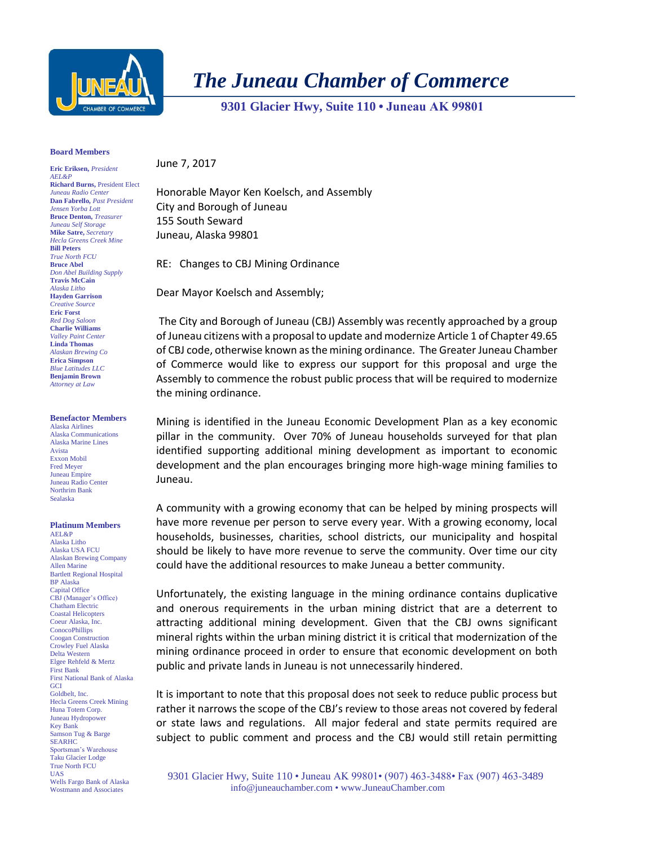

## *The Juneau Chamber of Commerce*

 **9301 Glacier Hwy, Suite 110 • Juneau AK 99801** 

## **Board Members**

**Eric Eriksen,** *President AEL&P* **Richard Burns,** President Elect *Juneau Radio Center* **Dan Fabrello,** *Past President Jensen Yorba Lott* **Bruce Denton,** *Treasurer Juneau Self Storage* **Mike Satre,** *Secretary Hecla Greens Creek Mine* **Bill Peters** *True North FCU* **Bruce Abel** *Don Abel Building Supply* **Travis McCain** *Alaska Litho* **Hayden Garrison** *Creative Source* **Eric Forst** *Red Dog Saloon* **Charlie Williams** *Valley Paint Center* **Linda Thomas** *Alaskan Brewing Co* **Erica Simpson** *Blue Latitudes LLC* **Benjamin Brown** *Attorney at Law*

## **Benefactor Members**

Alaska Airlines Alaska Communications Alaska Marine Lines Avista Exxon Mobil Fred Meyer Juneau Empire Juneau Radio Center Northrim Bank Sealaska

## **Platinum Members**

AEL&P Alaska Litho Alaska USA FCU Alaskan Brewing Company Allen Marine Bartlett Regional Hospital BP Alaska Capital Office CBJ (Manager's Office) Chatham Electric Coastal Helicopters Coeur Alaska, Inc. **ConocoPhillips** Coogan Construction Crowley Fuel Alaska Delta Western Elgee Rehfeld & Mertz First Bank First National Bank of Alaska **GCI** Goldbelt, Inc. Hecla Greens Creek Mining Huna Totem Corp. Juneau Hydropower Key Bank Samson Tug & Barge SEARHC Sportsman's Warehouse Taku Glacier Lodge True North FCU UAS Wells Fargo Bank of Alaska Wostmann and Associates

June 7, 2017

Honorable Mayor Ken Koelsch, and Assembly City and Borough of Juneau 155 South Seward Juneau, Alaska 99801

RE: Changes to CBJ Mining Ordinance

Dear Mayor Koelsch and Assembly;

The City and Borough of Juneau (CBJ) Assembly was recently approached by a group of Juneau citizens with a proposal to update and modernize Article 1 of Chapter 49.65 of CBJ code, otherwise known as the mining ordinance. The Greater Juneau Chamber of Commerce would like to express our support for this proposal and urge the Assembly to commence the robust public process that will be required to modernize the mining ordinance.

Mining is identified in the Juneau Economic Development Plan as a key economic pillar in the community. Over 70% of Juneau households surveyed for that plan identified supporting additional mining development as important to economic development and the plan encourages bringing more high-wage mining families to Juneau.

A community with a growing economy that can be helped by mining prospects will have more revenue per person to serve every year. With a growing economy, local households, businesses, charities, school districts, our municipality and hospital should be likely to have more revenue to serve the community. Over time our city could have the additional resources to make Juneau a better community.

Unfortunately, the existing language in the mining ordinance contains duplicative and onerous requirements in the urban mining district that are a deterrent to attracting additional mining development. Given that the CBJ owns significant mineral rights within the urban mining district it is critical that modernization of the mining ordinance proceed in order to ensure that economic development on both public and private lands in Juneau is not unnecessarily hindered.

It is important to note that this proposal does not seek to reduce public process but rather it narrows the scope of the CBJ's review to those areas not covered by federal or state laws and regulations. All major federal and state permits required are subject to public comment and process and the CBJ would still retain permitting

9301 Glacier Hwy, Suite 110 • Juneau AK 99801• (907) 463-3488• Fax (907) 463-3489 info@juneauchamber.com • www.JuneauChamber.com